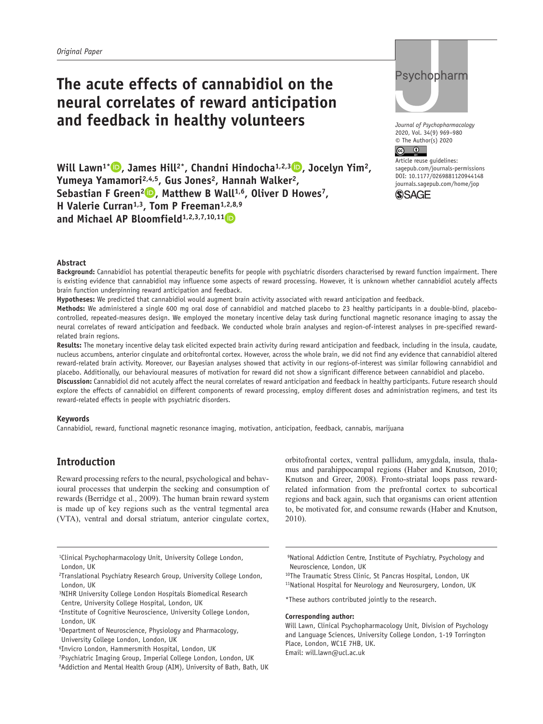# **The acute effects of cannabidiol on the neural correlates of reward anticipation and feedback in healthy volunteers**



*Journal of Psychopharmacology* 2020, Vol. 34(9) 969–980  $\circ$  The Author(s) 2020<br> $\circ$ 

Article reuse guidelines: [sagepub.com/journals-permissions](https://uk.sagepub.com/en-gb/journals-permissions) DOI: 10.1177/0269881120944148 [journals.sagepub.com/home/jop](https://journals.sagepub.com/home/jop) **SSAGE** 

Will Lawn<sup>1\*</sup> **D**, James Hill<sup>2\*</sup>, Chandni Hindocha<sup>1,2,3</sup> D, Jocelyn Yim<sup>2</sup>, **Yumeya Yamamori2,4,5, Gus Jones2, Hannah Walker2,**  Sebastian F Green<sup>2</sup> **D**, Matthew B Wall<sup>1,6</sup>, Oliver D Howes<sup>7</sup>, H Valerie Curran<sup>1,3</sup>, Tom P Freeman<sup>1,2,8,9</sup> and Michael AP Bloomfield<sup>1,2,3,7,10,11</sup>

#### **Abstract**

**Background:** Cannabidiol has potential therapeutic benefits for people with psychiatric disorders characterised by reward function impairment. There is existing evidence that cannabidiol may influence some aspects of reward processing. However, it is unknown whether cannabidiol acutely affects brain function underpinning reward anticipation and feedback.

**Hypotheses:** We predicted that cannabidiol would augment brain activity associated with reward anticipation and feedback.

**Methods:** We administered a single 600 mg oral dose of cannabidiol and matched placebo to 23 healthy participants in a double-blind, placebocontrolled, repeated-measures design. We employed the monetary incentive delay task during functional magnetic resonance imaging to assay the neural correlates of reward anticipation and feedback. We conducted whole brain analyses and region-of-interest analyses in pre-specified rewardrelated brain regions.

**Results:** The monetary incentive delay task elicited expected brain activity during reward anticipation and feedback, including in the insula, caudate, nucleus accumbens, anterior cingulate and orbitofrontal cortex. However, across the whole brain, we did not find any evidence that cannabidiol altered reward-related brain activity. Moreover, our Bayesian analyses showed that activity in our regions-of-interest was similar following cannabidiol and placebo. Additionally, our behavioural measures of motivation for reward did not show a significant difference between cannabidiol and placebo.

**Discussion:** Cannabidiol did not acutely affect the neural correlates of reward anticipation and feedback in healthy participants. Future research should explore the effects of cannabidiol on different components of reward processing, employ different doses and administration regimens, and test its reward-related effects in people with psychiatric disorders.

#### **Keywords**

Cannabidiol, reward, functional magnetic resonance imaging, motivation, anticipation, feedback, cannabis, marijuana

# **Introduction**

Reward processing refers to the neural, psychological and behavioural processes that underpin the seeking and consumption of rewards (Berridge et al., 2009). The human brain reward system is made up of key regions such as the ventral tegmental area (VTA), ventral and dorsal striatum, anterior cingulate cortex,

<sup>1</sup>Clinical Psychopharmacology Unit, University College London, London, UK

2Translational Psychiatry Research Group, University College London, London, UK

3NIHR University College London Hospitals Biomedical Research Centre, University College Hospital, London, UK

4Institute of Cognitive Neuroscience, University College London, London, UK

5Department of Neuroscience, Physiology and Pharmacology,

University College London, London, UK

7Psychiatric Imaging Group, Imperial College London, London, UK

Knutson and Greer, 2008). Fronto-striatal loops pass rewardrelated information from the prefrontal cortex to subcortical regions and back again, such that organisms can orient attention to, be motivated for, and consume rewards (Haber and Knutson, 2010).

orbitofrontal cortex, ventral pallidum, amygdala, insula, thalamus and parahippocampal regions (Haber and Knutson, 2010;

9National Addiction Centre, Institute of Psychiatry, Psychology and Neuroscience, London, UK

\*These authors contributed jointly to the research.

#### **Corresponding author:**

Will Lawn, Clinical Psychopharmacology Unit, Division of Psychology and Language Sciences, University College London, 1-19 Torrington Place, London, WC1E 7HB, UK. Email: [will.lawn@ucl.ac.uk](mailto:will.lawn@ucl.ac.uk)

<sup>6</sup>Invicro London, Hammersmith Hospital, London, UK

<sup>8</sup>Addiction and Mental Health Group (AIM), University of Bath, Bath, UK

<sup>10</sup>The Traumatic Stress Clinic, St Pancras Hospital, London, UK 11National Hospital for Neurology and Neurosurgery, London, UK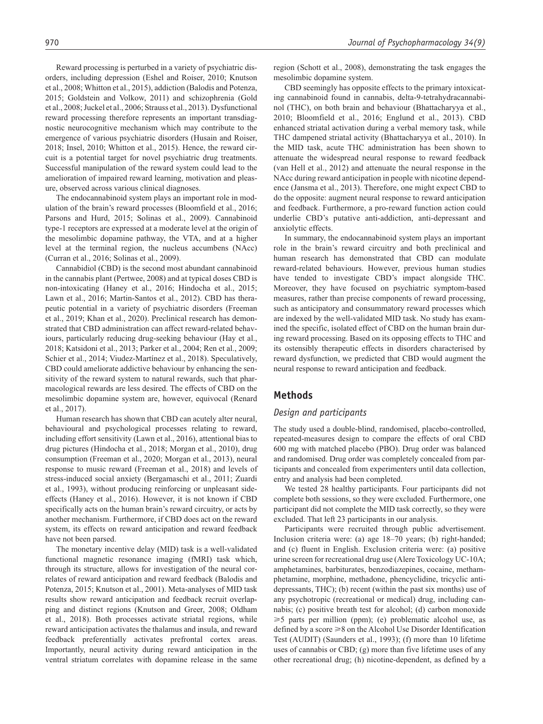Reward processing is perturbed in a variety of psychiatric disorders, including depression (Eshel and Roiser, 2010; Knutson et al., 2008; Whitton et al., 2015), addiction (Balodis and Potenza, 2015; Goldstein and Volkow, 2011) and schizophrenia (Gold et al., 2008; Juckel et al., 2006; Strauss et al., 2013). Dysfunctional reward processing therefore represents an important transdiagnostic neurocognitive mechanism which may contribute to the emergence of various psychiatric disorders (Husain and Roiser, 2018; Insel, 2010; Whitton et al., 2015). Hence, the reward circuit is a potential target for novel psychiatric drug treatments. Successful manipulation of the reward system could lead to the amelioration of impaired reward learning, motivation and pleasure, observed across various clinical diagnoses.

The endocannabinoid system plays an important role in modulation of the brain's reward processes (Bloomfield et al., 2016; Parsons and Hurd, 2015; Solinas et al., 2009). Cannabinoid type-1 receptors are expressed at a moderate level at the origin of the mesolimbic dopamine pathway, the VTA, and at a higher level at the terminal region, the nucleus accumbens (NAcc) (Curran et al., 2016; Solinas et al., 2009).

Cannabidiol (CBD) is the second most abundant cannabinoid in the cannabis plant (Pertwee, 2008) and at typical doses CBD is non-intoxicating (Haney et al., 2016; Hindocha et al., 2015; Lawn et al., 2016; Martin-Santos et al., 2012). CBD has therapeutic potential in a variety of psychiatric disorders (Freeman et al., 2019; Khan et al., 2020). Preclinical research has demonstrated that CBD administration can affect reward-related behaviours, particularly reducing drug-seeking behaviour (Hay et al., 2018; Katsidoni et al., 2013; Parker et al., 2004; Ren et al., 2009; Schier et al., 2014; Viudez-Martínez et al., 2018). Speculatively, CBD could ameliorate addictive behaviour by enhancing the sensitivity of the reward system to natural rewards, such that pharmacological rewards are less desired. The effects of CBD on the mesolimbic dopamine system are, however, equivocal (Renard et al., 2017).

Human research has shown that CBD can acutely alter neural, behavioural and psychological processes relating to reward, including effort sensitivity (Lawn et al., 2016), attentional bias to drug pictures (Hindocha et al., 2018; Morgan et al., 2010), drug consumption (Freeman et al., 2020; Morgan et al., 2013), neural response to music reward (Freeman et al., 2018) and levels of stress-induced social anxiety (Bergamaschi et al., 2011; Zuardi et al., 1993), without producing reinforcing or unpleasant sideeffects (Haney et al., 2016). However, it is not known if CBD specifically acts on the human brain's reward circuitry, or acts by another mechanism. Furthermore, if CBD does act on the reward system, its effects on reward anticipation and reward feedback have not been parsed.

The monetary incentive delay (MID) task is a well-validated functional magnetic resonance imaging (fMRI) task which, through its structure, allows for investigation of the neural correlates of reward anticipation and reward feedback (Balodis and Potenza, 2015; Knutson et al., 2001). Meta-analyses of MID task results show reward anticipation and feedback recruit overlapping and distinct regions (Knutson and Greer, 2008; Oldham et al., 2018). Both processes activate striatal regions, while reward anticipation activates the thalamus and insula, and reward feedback preferentially activates prefrontal cortex areas. Importantly, neural activity during reward anticipation in the ventral striatum correlates with dopamine release in the same region (Schott et al., 2008), demonstrating the task engages the mesolimbic dopamine system.

CBD seemingly has opposite effects to the primary intoxicating cannabinoid found in cannabis, delta-9-tetrahydracannabinol (THC), on both brain and behaviour (Bhattacharyya et al., 2010; Bloomfield et al., 2016; Englund et al., 2013). CBD enhanced striatal activation during a verbal memory task, while THC dampened striatal activity (Bhattacharyya et al., 2010). In the MID task, acute THC administration has been shown to attenuate the widespread neural response to reward feedback (van Hell et al., 2012) and attenuate the neural response in the NAcc during reward anticipation in people with nicotine dependence (Jansma et al., 2013). Therefore, one might expect CBD to do the opposite: augment neural response to reward anticipation and feedback. Furthermore, a pro-reward function action could underlie CBD's putative anti-addiction, anti-depressant and anxiolytic effects.

In summary, the endocannabinoid system plays an important role in the brain's reward circuitry and both preclinical and human research has demonstrated that CBD can modulate reward-related behaviours. However, previous human studies have tended to investigate CBD's impact alongside THC. Moreover, they have focused on psychiatric symptom-based measures, rather than precise components of reward processing, such as anticipatory and consummatory reward processes which are indexed by the well-validated MID task. No study has examined the specific, isolated effect of CBD on the human brain during reward processing. Based on its opposing effects to THC and its ostensibly therapeutic effects in disorders characterised by reward dysfunction, we predicted that CBD would augment the neural response to reward anticipation and feedback.

## **Methods**

## *Design and participants*

The study used a double-blind, randomised, placebo-controlled, repeated-measures design to compare the effects of oral CBD 600 mg with matched placebo (PBO). Drug order was balanced and randomised. Drug order was completely concealed from participants and concealed from experimenters until data collection, entry and analysis had been completed.

We tested 28 healthy participants. Four participants did not complete both sessions, so they were excluded. Furthermore, one participant did not complete the MID task correctly, so they were excluded. That left 23 participants in our analysis.

Participants were recruited through public advertisement. Inclusion criteria were: (a) age 18–70 years; (b) right-handed; and (c) fluent in English. Exclusion criteria were: (a) positive urine screen for recreational drug use (Alere Toxicology UC-10A; amphetamines, barbiturates, benzodiazepines, cocaine, methamphetamine, morphine, methadone, phencyclidine, tricyclic antidepressants, THC); (b) recent (within the past six months) use of any psychotropic (recreational or medical) drug, including cannabis; (c) positive breath test for alcohol; (d) carbon monoxide  $\geq 5$  parts per million (ppm); (e) problematic alcohol use, as defined by a score  $\geq 8$  on the Alcohol Use Disorder Identification Test (AUDIT) (Saunders et al., 1993); (f) more than 10 lifetime uses of cannabis or CBD; (g) more than five lifetime uses of any other recreational drug; (h) nicotine-dependent, as defined by a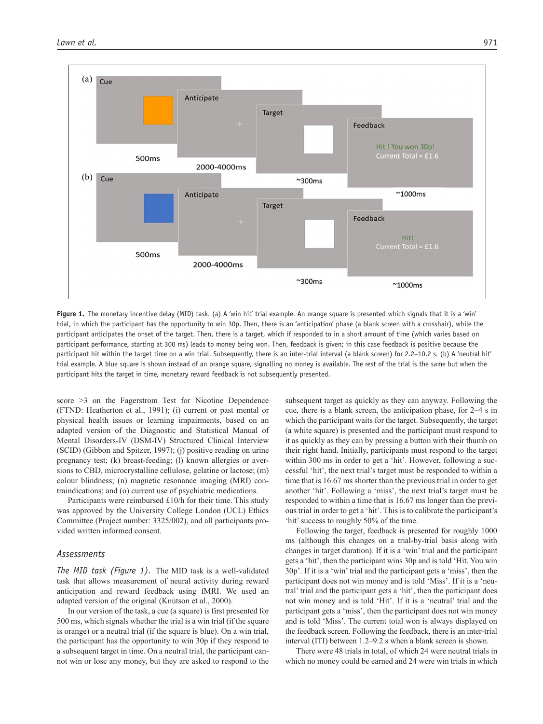

**Figure 1.** The monetary incentive delay (MID) task. (a) A 'win hit' trial example. An orange square is presented which signals that it is a 'win' trial, in which the participant has the opportunity to win 30p. Then, there is an 'anticipation' phase (a blank screen with a crosshair), while the participant anticipates the onset of the target. Then, there is a target, which if responded to in a short amount of time (which varies based on participant performance, starting at 300 ms) leads to money being won. Then, feedback is given; in this case feedback is positive because the participant hit within the target time on a win trial. Subsequently, there is an inter-trial interval (a blank screen) for 2.2-10.2 s. (b) A 'neutral hit' trial example. A blue square is shown instead of an orange square, signalling no money is available. The rest of the trial is the same but when the participant hits the target in time, monetary reward feedback is not subsequently presented.

score >3 on the Fagerstrom Test for Nicotine Dependence (FTND: Heatherton et al., 1991); (i) current or past mental or physical health issues or learning impairments, based on an adapted version of the Diagnostic and Statistical Manual of Mental Disorders-IV (DSM-IV) Structured Clinical Interview (SCID) (Gibbon and Spitzer, 1997); (j) positive reading on urine pregnancy test; (k) breast-feeding; (l) known allergies or aversions to CBD, microcrystalline cellulose, gelatine or lactose; (m) colour blindness; (n) magnetic resonance imaging (MRI) contraindications; and (o) current use of psychiatric medications.

Participants were reimbursed £10/h for their time. This study was approved by the University College London (UCL) Ethics Committee (Project number: 3325/002), and all participants provided written informed consent.

#### *Assessments*

*The MID task (Figure 1).* The MID task is a well-validated task that allows measurement of neural activity during reward anticipation and reward feedback using fMRI. We used an adapted version of the original (Knutson et al., 2000).

In our version of the task, a cue (a square) is first presented for 500 ms, which signals whether the trial is a win trial (if the square is orange) or a neutral trial (if the square is blue). On a win trial, the participant has the opportunity to win 30p if they respond to a subsequent target in time. On a neutral trial, the participant cannot win or lose any money, but they are asked to respond to the subsequent target as quickly as they can anyway. Following the cue, there is a blank screen, the anticipation phase, for 2–4 s in which the participant waits for the target. Subsequently, the target (a white square) is presented and the participant must respond to it as quickly as they can by pressing a button with their thumb on their right hand. Initially, participants must respond to the target within 300 ms in order to get a 'hit'. However, following a successful 'hit', the next trial's target must be responded to within a time that is 16.67 ms shorter than the previous trial in order to get another 'hit'. Following a 'miss', the next trial's target must be responded to within a time that is 16.67 ms longer than the previous trial in order to get a 'hit'. This is to calibrate the participant's 'hit' success to roughly 50% of the time.

Following the target, feedback is presented for roughly 1000 ms (although this changes on a trial-by-trial basis along with changes in target duration). If it is a 'win' trial and the participant gets a 'hit', then the participant wins 30p and is told 'Hit. You win 30p'. If it is a 'win' trial and the participant gets a 'miss', then the participant does not win money and is told 'Miss'. If it is a 'neutral' trial and the participant gets a 'hit', then the participant does not win money and is told 'Hit'. If it is a 'neutral' trial and the participant gets a 'miss', then the participant does not win money and is told 'Miss'. The current total won is always displayed on the feedback screen. Following the feedback, there is an inter-trial interval (ITI) between 1.2–9.2 s when a blank screen is shown.

There were 48 trials in total, of which 24 were neutral trials in which no money could be earned and 24 were win trials in which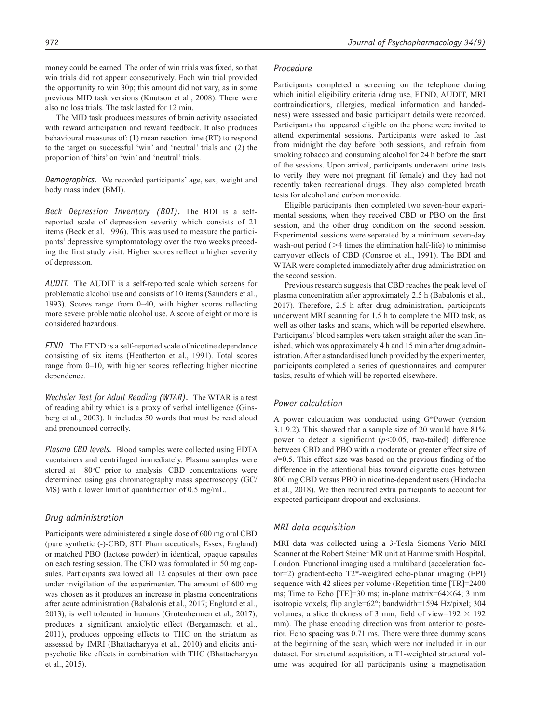money could be earned. The order of win trials was fixed, so that win trials did not appear consecutively. Each win trial provided the opportunity to win 30p; this amount did not vary, as in some previous MID task versions (Knutson et al., 2008). There were also no loss trials. The task lasted for 12 min.

The MID task produces measures of brain activity associated with reward anticipation and reward feedback. It also produces behavioural measures of: (1) mean reaction time (RT) to respond to the target on successful 'win' and 'neutral' trials and (2) the proportion of 'hits' on 'win' and 'neutral' trials.

*Demographics.* We recorded participants' age, sex, weight and body mass index (BMI).

*Beck Depression Inventory (BDI).* The BDI is a selfreported scale of depression severity which consists of 21 items (Beck et al. 1996). This was used to measure the participants' depressive symptomatology over the two weeks preceding the first study visit. Higher scores reflect a higher severity of depression.

*AUDIT.* The AUDIT is a self-reported scale which screens for problematic alcohol use and consists of 10 items (Saunders et al., 1993). Scores range from 0–40, with higher scores reflecting more severe problematic alcohol use. A score of eight or more is considered hazardous.

*FTND.* The FTND is a self-reported scale of nicotine dependence consisting of six items (Heatherton et al., 1991). Total scores range from 0–10, with higher scores reflecting higher nicotine dependence.

*Wechsler Test for Adult Reading (WTAR).* The WTAR is a test of reading ability which is a proxy of verbal intelligence (Ginsberg et al., 2003). It includes 50 words that must be read aloud and pronounced correctly.

*Plasma CBD levels.* Blood samples were collected using EDTA vacutainers and centrifuged immediately. Plasma samples were stored at −80°C prior to analysis. CBD concentrations were determined using gas chromatography mass spectroscopy (GC/ MS) with a lower limit of quantification of 0.5 mg/mL.

#### *Drug administration*

Participants were administered a single dose of 600 mg oral CBD (pure synthetic (-)-CBD, STI Pharmaceuticals, Essex, England) or matched PBO (lactose powder) in identical, opaque capsules on each testing session. The CBD was formulated in 50 mg capsules. Participants swallowed all 12 capsules at their own pace under invigilation of the experimenter. The amount of 600 mg was chosen as it produces an increase in plasma concentrations after acute administration (Babalonis et al., 2017; Englund et al., 2013), is well tolerated in humans (Grotenhermen et al., 2017), produces a significant anxiolytic effect (Bergamaschi et al., 2011), produces opposing effects to THC on the striatum as assessed by fMRI (Bhattacharyya et al., 2010) and elicits antipsychotic like effects in combination with THC (Bhattacharyya et al., 2015).

## *Procedure*

Participants completed a screening on the telephone during which initial eligibility criteria (drug use, FTND, AUDIT, MRI contraindications, allergies, medical information and handedness) were assessed and basic participant details were recorded. Participants that appeared eligible on the phone were invited to attend experimental sessions. Participants were asked to fast from midnight the day before both sessions, and refrain from smoking tobacco and consuming alcohol for 24 h before the start of the sessions. Upon arrival, participants underwent urine tests to verify they were not pregnant (if female) and they had not recently taken recreational drugs. They also completed breath tests for alcohol and carbon monoxide.

Eligible participants then completed two seven-hour experimental sessions, when they received CBD or PBO on the first session, and the other drug condition on the second session. Experimental sessions were separated by a minimum seven-day wash-out period  $($  >4 times the elimination half-life) to minimise carryover effects of CBD (Consroe et al., 1991). The BDI and WTAR were completed immediately after drug administration on the second session.

Previous research suggests that CBD reaches the peak level of plasma concentration after approximately 2.5 h (Babalonis et al., 2017). Therefore, 2.5 h after drug administration, participants underwent MRI scanning for 1.5 h to complete the MID task, as well as other tasks and scans, which will be reported elsewhere. Participants' blood samples were taken straight after the scan finished, which was approximately 4 h and 15 min after drug administration. After a standardised lunch provided by the experimenter, participants completed a series of questionnaires and computer tasks, results of which will be reported elsewhere.

#### *Power calculation*

A power calculation was conducted using G\*Power (version 3.1.9.2). This showed that a sample size of 20 would have 81% power to detect a significant (*p*<0.05, two-tailed) difference between CBD and PBO with a moderate or greater effect size of *d*=0.5. This effect size was based on the previous finding of the difference in the attentional bias toward cigarette cues between 800 mg CBD versus PBO in nicotine-dependent users (Hindocha et al., 2018). We then recruited extra participants to account for expected participant dropout and exclusions.

## *MRI data acquisition*

MRI data was collected using a 3-Tesla Siemens Verio MRI Scanner at the Robert Steiner MR unit at Hammersmith Hospital, London. Functional imaging used a multiband (acceleration factor=2) gradient-echo T2\*-weighted echo-planar imaging (EPI) sequence with 42 slices per volume (Repetition time [TR]=2400 ms; Time to Echo [TE]=30 ms; in-plane matrix= $64\times64$ ; 3 mm isotropic voxels; flip angle=62°; bandwidth=1594 Hz/pixel; 304 volumes; a slice thickness of 3 mm; field of view=192  $\times$  192 mm). The phase encoding direction was from anterior to posterior. Echo spacing was 0.71 ms. There were three dummy scans at the beginning of the scan, which were not included in in our dataset. For structural acquisition, a T1-weighted structural volume was acquired for all participants using a magnetisation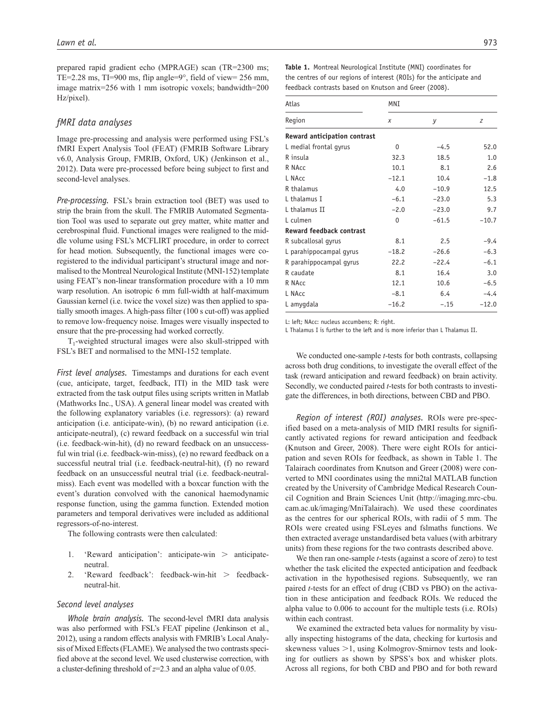prepared rapid gradient echo (MPRAGE) scan (TR=2300 ms; TE=2.28 ms, TI=900 ms, flip angle=9°, field of view= 256 mm, image matrix=256 with 1 mm isotropic voxels; bandwidth=200 Hz/pixel).

#### *fMRI data analyses*

Image pre-processing and analysis were performed using FSL's fMRI Expert Analysis Tool (FEAT) (FMRIB Software Library v6.0, Analysis Group, FMRIB, Oxford, UK) (Jenkinson et al., 2012). Data were pre-processed before being subject to first and second-level analyses.

*Pre-processing.* FSL's brain extraction tool (BET) was used to strip the brain from the skull. The FMRIB Automated Segmentation Tool was used to separate out grey matter, white matter and cerebrospinal fluid. Functional images were realigned to the middle volume using FSL's MCFLIRT procedure, in order to correct for head motion. Subsequently, the functional images were coregistered to the individual participant's structural image and normalised to the Montreal Neurological Institute (MNI-152) template using FEAT's non-linear transformation procedure with a 10 mm warp resolution. An isotropic 6 mm full-width at half-maximum Gaussian kernel (i.e. twice the voxel size) was then applied to spatially smooth images. A high-pass filter (100 s cut-off) was applied to remove low-frequency noise. Images were visually inspected to ensure that the pre-processing had worked correctly.

 $T_1$ -weighted structural images were also skull-stripped with FSL's BET and normalised to the MNI-152 template.

*First level analyses.* Timestamps and durations for each event (cue, anticipate, target, feedback, ITI) in the MID task were extracted from the task output files using scripts written in Matlab (Mathworks Inc., USA). A general linear model was created with the following explanatory variables (i.e. regressors): (a) reward anticipation (i.e. anticipate-win), (b) no reward anticipation (i.e. anticipate-neutral), (c) reward feedback on a successful win trial (i.e. feedback-win-hit), (d) no reward feedback on an unsuccessful win trial (i.e. feedback-win-miss), (e) no reward feedback on a successful neutral trial (i.e. feedback-neutral-hit), (f) no reward feedback on an unsuccessful neutral trial (i.e. feedback-neutralmiss). Each event was modelled with a boxcar function with the event's duration convolved with the canonical haemodynamic response function, using the gamma function. Extended motion parameters and temporal derivatives were included as additional regressors-of-no-interest.

The following contrasts were then calculated:

- 1. 'Reward anticipation': anticipate-win > anticipateneutral.
- 2. 'Reward feedback': feedback-win-hit > feedbackneutral-hit.

#### *Second level analyses*

*Whole brain analysis.* The second-level fMRI data analysis was also performed with FSL's FEAT pipeline (Jenkinson et al., 2012), using a random effects analysis with FMRIB's Local Analysis of Mixed Effects (FLAME). We analysed the two contrasts specified above at the second level. We used clusterwise correction, with a cluster-defining threshold of *z*=2.3 and an alpha value of 0.05.

**Table 1.** Montreal Neurological Institute (MNI) coordinates for the centres of our regions of interest (ROIs) for the anticipate and feedback contrasts based on Knutson and Greer (2008).

| Atlas                               | MNI     |         |         |  |  |
|-------------------------------------|---------|---------|---------|--|--|
| Region                              | x       | у       | Z       |  |  |
| <b>Reward anticipation contrast</b> |         |         |         |  |  |
| L medial frontal gyrus              | 0       | $-4.5$  | 52.0    |  |  |
| R insula                            | 32.3    | 18.5    | 1.0     |  |  |
| R NAcc                              | 10.1    | 8.1     | 2.6     |  |  |
| L NAcc                              | $-12.1$ | 10.4    | $-1.8$  |  |  |
| R thalamus                          | 4.0     | $-10.9$ | 12.5    |  |  |
| L thalamus I                        | $-6.1$  | $-23.0$ | 5.3     |  |  |
| L thalamus II                       | $-2.0$  | $-23.0$ | 9.7     |  |  |
| L culmen                            | 0       | $-61.5$ | $-10.7$ |  |  |
| <b>Reward feedback contrast</b>     |         |         |         |  |  |
| R subcallosal gyrus                 | 8.1     | 2.5     | $-9.4$  |  |  |
| L parahippocampal gyrus             | $-18.2$ | $-26.6$ | $-6.3$  |  |  |
| R parahippocampal gyrus             | 22.2    | $-22.4$ | $-6.1$  |  |  |
| R caudate                           | 8.1     | 16.4    | 3.0     |  |  |
| R NAcc                              | 12.1    | 10.6    | $-6.5$  |  |  |
| L NAcc                              | $-8.1$  | 6.4     | $-4.4$  |  |  |
| L amygdala                          | $-16.2$ | $-.15$  | $-12.0$ |  |  |

L: left; NAcc: nucleus accumbens; R: right.

L Thalamus I is further to the left and is more inferior than L Thalamus II.

We conducted one-sample *t*-tests for both contrasts, collapsing across both drug conditions, to investigate the overall effect of the task (reward anticipation and reward feedback) on brain activity. Secondly, we conducted paired *t*-tests for both contrasts to investigate the differences, in both directions, between CBD and PBO.

*Region of interest (ROI) analyses.* ROIs were pre-specified based on a meta-analysis of MID fMRI results for significantly activated regions for reward anticipation and feedback (Knutson and Greer, 2008). There were eight ROIs for anticipation and seven ROIs for feedback, as shown in Table 1. The Talairach coordinates from Knutson and Greer (2008) were converted to MNI coordinates using the mni2tal MATLAB function created by the University of Cambridge Medical Research Council Cognition and Brain Sciences Unit [\(http://imaging.mrc-cbu.](http://imaging.mrc-cbu.cam.ac.uk/imaging/MniTalairach) [cam.ac.uk/imaging/MniTalairach](http://imaging.mrc-cbu.cam.ac.uk/imaging/MniTalairach)). We used these coordinates as the centres for our spherical ROIs, with radii of 5 mm. The ROIs were created using FSLeyes and fslmaths functions. We then extracted average unstandardised beta values (with arbitrary units) from these regions for the two contrasts described above.

We then ran one-sample *t*-tests (against a score of zero) to test whether the task elicited the expected anticipation and feedback activation in the hypothesised regions. Subsequently, we ran paired *t*-tests for an effect of drug (CBD vs PBO) on the activation in these anticipation and feedback ROIs. We reduced the alpha value to 0.006 to account for the multiple tests (i.e. ROIs) within each contrast.

We examined the extracted beta values for normality by visually inspecting histograms of the data, checking for kurtosis and skewness values >1, using Kolmogrov-Smirnov tests and looking for outliers as shown by SPSS's box and whisker plots. Across all regions, for both CBD and PBO and for both reward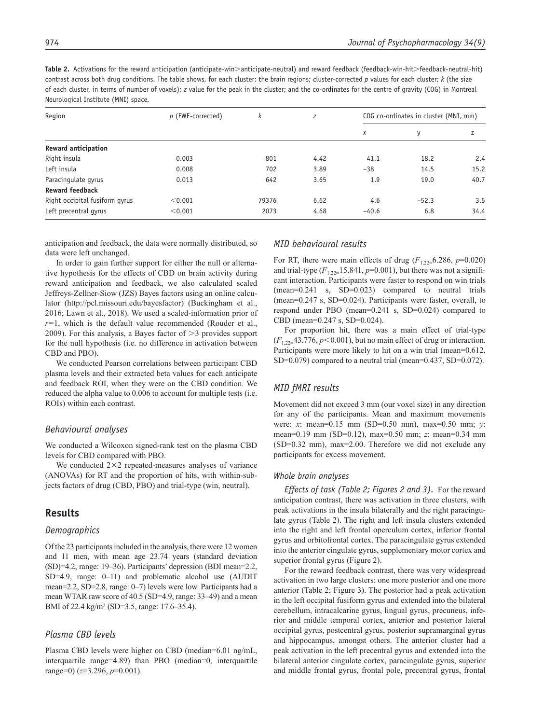**Table 2.** Activations for the reward anticipation (anticipate-win>anticipate-neutral) and reward feedback (feedback-win-hit>feedback-neutral-hit) contrast across both drug conditions. The table shows, for each cluster: the brain regions; cluster-corrected *p* values for each cluster; *k* (the size of each cluster, in terms of number of voxels); *z* value for the peak in the cluster; and the co-ordinates for the centre of gravity (COG) in Montreal Neurological Institute (MNI) space.

| Region                         | p (FWE-corrected) | k     | z    | COG co-ordinates in cluster (MNI, mm) |         |      |
|--------------------------------|-------------------|-------|------|---------------------------------------|---------|------|
|                                |                   |       |      | X                                     | y       | Z    |
| <b>Reward anticipation</b>     |                   |       |      |                                       |         |      |
| Right insula                   | 0.003             | 801   | 4.42 | 41.1                                  | 18.2    | 2.4  |
| Left insula                    | 0.008             | 702   | 3.89 | $-38$                                 | 14.5    | 15.2 |
| Paracingulate gyrus            | 0.013             | 642   | 3.65 | 1.9                                   | 19.0    | 40.7 |
| <b>Reward feedback</b>         |                   |       |      |                                       |         |      |
| Right occipital fusiform gyrus | < 0.001           | 79376 | 6.62 | 4.6                                   | $-52.3$ | 3.5  |
| Left precentral gyrus          | < 0.001           | 2073  | 4.68 | $-40.6$                               | 6.8     | 34.4 |

anticipation and feedback, the data were normally distributed, so data were left unchanged.

In order to gain further support for either the null or alternative hypothesis for the effects of CBD on brain activity during reward anticipation and feedback, we also calculated scaled Jeffreys-Zellner-Siow (JZS) Bayes factors using an online calculator ([http://pcl.missouri.edu/bayesfactor\)](http://pcl.missouri.edu/bayesfactor) (Buckingham et al., 2016; Lawn et al., 2018). We used a scaled-information prior of *r=*1, which is the default value recommended (Rouder et al., 2009). For this analysis, a Bayes factor of  $\geq$  3 provides support for the null hypothesis (i.e. no difference in activation between CBD and PBO).

We conducted Pearson correlations between participant CBD plasma levels and their extracted beta values for each anticipate and feedback ROI, when they were on the CBD condition. We reduced the alpha value to 0.006 to account for multiple tests (i.e. ROIs) within each contrast.

## *Behavioural analyses*

We conducted a Wilcoxon signed-rank test on the plasma CBD levels for CBD compared with PBO.

We conducted  $2\times 2$  repeated-measures analyses of variance (ANOVAs) for RT and the proportion of hits, with within-subjects factors of drug (CBD, PBO) and trial-type (win, neutral).

# **Results**

#### *Demographics*

Of the 23 participants included in the analysis, there were 12 women and 11 men, with mean age 23.74 years (standard deviation (SD)=4.2, range: 19–36). Participants' depression (BDI mean=2.2, SD=4.9, range: 0–11) and problematic alcohol use (AUDIT mean=2.2, SD=2.8, range: 0–7) levels were low. Participants had a mean WTAR raw score of 40.5 (SD=4.9, range: 33–49) and a mean BMI of 22.4 kg/m<sup>2</sup> (SD=3.5, range: 17.6–35.4).

#### *Plasma CBD levels*

Plasma CBD levels were higher on CBD (median=6.01 ng/mL, interquartile range=4.89) than PBO (median=0, interquartile range=0) (*z*=3.296, *p*=0.001).

# *MID behavioural results*

For RT, there were main effects of drug  $(F_{1,22=6.286, p=0.020)$ and trial-type  $(F_{1,22=}15.841, p=0.001)$ , but there was not a significant interaction. Participants were faster to respond on win trials (mean=0.241 s, SD=0.023) compared to neutral trials (mean=0.247 s, SD=0.024). Participants were faster, overall, to respond under PBO (mean=0.241 s, SD=0.024) compared to CBD (mean=0.247 s, SD=0.024).

For proportion hit, there was a main effect of trial-type  $(F_{1,22}=43.776, p<0.001)$ , but no main effect of drug or interaction. Participants were more likely to hit on a win trial (mean=0.612, SD=0.079) compared to a neutral trial (mean=0.437, SD=0.072).

## *MID fMRI results*

Movement did not exceed 3 mm (our voxel size) in any direction for any of the participants. Mean and maximum movements were: *x*: mean=0.15 mm (SD=0.50 mm), max=0.50 mm; *y*: mean=0.19 mm (SD=0.12), max=0.50 mm; *z*: mean=0.34 mm (SD=0.32 mm), max=2.00. Therefore we did not exclude any participants for excess movement.

#### *Whole brain analyses*

*Effects of task (Table 2; Figures 2 and 3).* For the reward anticipation contrast, there was activation in three clusters, with peak activations in the insula bilaterally and the right paracingulate gyrus (Table 2). The right and left insula clusters extended into the right and left frontal operculum cortex, inferior frontal gyrus and orbitofrontal cortex. The paracingulate gyrus extended into the anterior cingulate gyrus, supplementary motor cortex and superior frontal gyrus (Figure 2).

For the reward feedback contrast, there was very widespread activation in two large clusters: one more posterior and one more anterior (Table 2; Figure 3). The posterior had a peak activation in the left occipital fusiform gyrus and extended into the bilateral cerebellum, intracalcarine gyrus, lingual gyrus, precuneus, inferior and middle temporal cortex, anterior and posterior lateral occipital gyrus, postcentral gyrus, posterior supramarginal gyrus and hippocampus, amongst others. The anterior cluster had a peak activation in the left precentral gyrus and extended into the bilateral anterior cingulate cortex, paracingulate gyrus, superior and middle frontal gyrus, frontal pole, precentral gyrus, frontal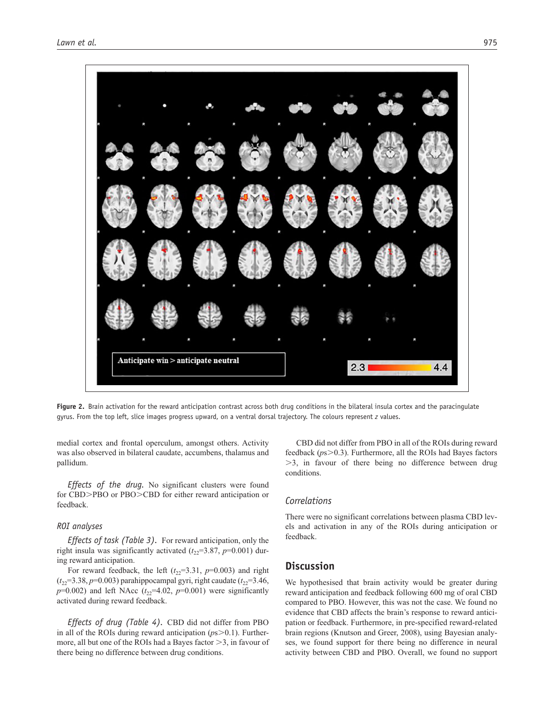

**Figure 2.** Brain activation for the reward anticipation contrast across both drug conditions in the bilateral insula cortex and the paracingulate gyrus. From the top left, slice images progress upward, on a ventral dorsal trajectory. The colours represent *z* values.

medial cortex and frontal operculum, amongst others. Activity was also observed in bilateral caudate, accumbens, thalamus and pallidum.

*Effects of the drug.* No significant clusters were found for CBD>PBO or PBO>CBD for either reward anticipation or feedback.

#### *ROI analyses*

*Effects of task (Table 3).* For reward anticipation, only the right insula was significantly activated  $(t_{2} = 3.87, p=0.001)$  during reward anticipation.

For reward feedback, the left  $(t_{22}=3.31, p=0.003)$  and right  $(t_{22}=3.38, p=0.003)$  parahippocampal gyri, right caudate  $(t_{22}=3.46,$  $p=0.002$ ) and left NAcc ( $t_{22}=4.02$ ,  $p=0.001$ ) were significantly activated during reward feedback.

*Effects of drug (Table 4).* CBD did not differ from PBO in all of the ROIs during reward anticipation ( $p$ s>0.1). Furthermore, all but one of the ROIs had a Bayes factor >3, in favour of there being no difference between drug conditions.

CBD did not differ from PBO in all of the ROIs during reward feedback (*p*s>0.3). Furthermore, all the ROIs had Bayes factors >3, in favour of there being no difference between drug conditions.

#### *Correlations*

There were no significant correlations between plasma CBD levels and activation in any of the ROIs during anticipation or feedback.

# **Discussion**

We hypothesised that brain activity would be greater during reward anticipation and feedback following 600 mg of oral CBD compared to PBO. However, this was not the case. We found no evidence that CBD affects the brain's response to reward anticipation or feedback. Furthermore, in pre-specified reward-related brain regions (Knutson and Greer, 2008), using Bayesian analyses, we found support for there being no difference in neural activity between CBD and PBO. Overall, we found no support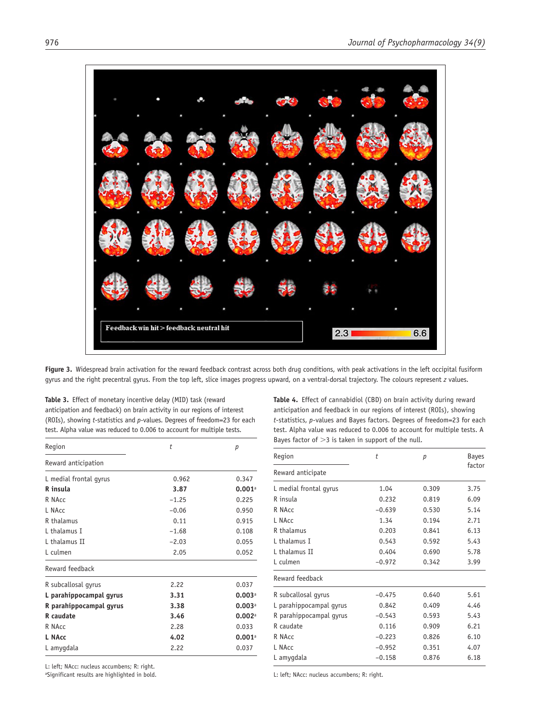

Figure 3. Widespread brain activation for the reward feedback contrast across both drug conditions, with peak activations in the left occipital fusiform gyrus and the right precentral gyrus. From the top left, slice images progress upward, on a ventral-dorsal trajectory. The colours represent *z* values.

**Table 3.** Effect of monetary incentive delay (MID) task (reward anticipation and feedback) on brain activity in our regions of interest (ROIs), showing *t*-statistics and *p*-values. Degrees of freedom=23 for each test. Alpha value was reduced to 0.006 to account for multiple tests.

**Table 4.** Effect of cannabidiol (CBD) on brain activity during reward anticipation and feedback in our regions of interest (ROIs), showing *t*-statistics, *p*-values and Bayes factors. Degrees of freedom=23 for each test. Alpha value was reduced to 0.006 to account for multiple tests. A Bayes factor of  $>$ 3 is taken in support of the null.

| Region                  | t             | р                    |  |
|-------------------------|---------------|----------------------|--|
| Reward anticipation     |               |                      |  |
| L medial frontal gyrus  | 0.962         | 0.347                |  |
| R insula                | 3.87          | 0.001                |  |
| R NAcc                  | $-1.25$       | 0.225                |  |
| L NAcc                  | $-0.06$       | 0.950                |  |
| R thalamus              | 0.11          | 0.915                |  |
| L thalamus I            | $-1.68$       | 0.108                |  |
| L thalamus II           | $-2.03$       | 0.055                |  |
| L culmen                | 2.05          | 0.052                |  |
| Reward feedback         |               |                      |  |
| R subcallosal gyrus     | 2.22          | 0.037                |  |
| L parahippocampal gyrus | 3.31          | $0.003$ <sup>a</sup> |  |
| R parahippocampal gyrus | 3.38          | $0.003$ <sup>a</sup> |  |
| R caudate               | 3.46          | 0.002                |  |
| R NAcc                  | 2.28          | 0.033                |  |
| L NAcc                  | 0.001<br>4.02 |                      |  |
| L amygdala              | 2.22          | 0.037                |  |

L: left; NAcc: nucleus accumbens; R: right. aSignificant results are highlighted in bold.

Region *t p* Bayes factor Reward anticipate L medial frontal gyrus 1.04 0.309 3.75 R insula 0.232 0.819 6.09 R NAcc **6** -0.639 0.530 5.14 L NAcc 2.71 R thalamus 0.203 0.841 6.13 L thalamus I 0.543 0.592 5.43 L thalamus II 0.404 0.690 5.78 L culmen –0.972 0.342 3.99 Reward feedback R subcallosal gyrus –0.475 0.640 5.61 L parahippocampal gyrus 0.842 0.409 4.46 R parahippocampal gyrus –0.543 0.593 5.43 R caudate  $0.116$  0.909 6.21 R NAcc **6.10** – 0.223 **0.826** 6.10 L NAcc –0.952 0.351 4.07 L amygdala –0.158 0.876 6.18

L: left; NAcc: nucleus accumbens; R: right.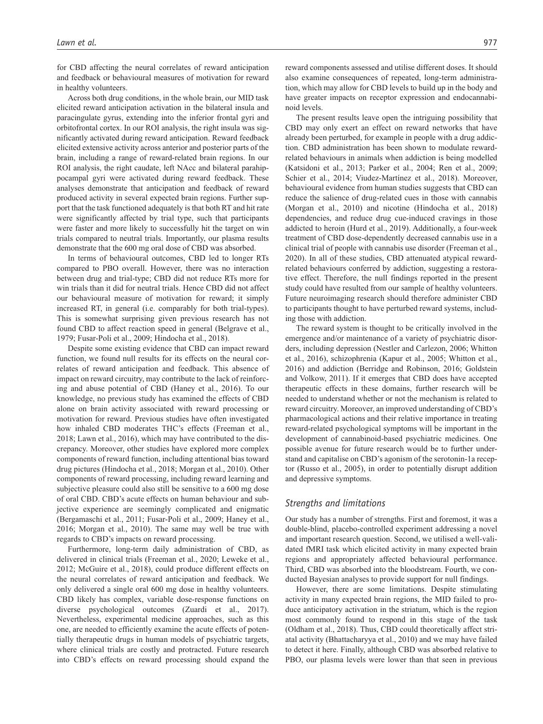for CBD affecting the neural correlates of reward anticipation and feedback or behavioural measures of motivation for reward in healthy volunteers.

Across both drug conditions, in the whole brain, our MID task elicited reward anticipation activation in the bilateral insula and paracingulate gyrus, extending into the inferior frontal gyri and orbitofrontal cortex. In our ROI analysis, the right insula was significantly activated during reward anticipation. Reward feedback elicited extensive activity across anterior and posterior parts of the brain, including a range of reward-related brain regions. In our ROI analysis, the right caudate, left NAcc and bilateral parahippocampal gyri were activated during reward feedback. These analyses demonstrate that anticipation and feedback of reward produced activity in several expected brain regions. Further support that the task functioned adequately is that both RT and hit rate were significantly affected by trial type, such that participants were faster and more likely to successfully hit the target on win trials compared to neutral trials. Importantly, our plasma results demonstrate that the 600 mg oral dose of CBD was absorbed.

In terms of behavioural outcomes, CBD led to longer RTs compared to PBO overall. However, there was no interaction between drug and trial-type; CBD did not reduce RTs more for win trials than it did for neutral trials. Hence CBD did not affect our behavioural measure of motivation for reward; it simply increased RT, in general (i.e. comparably for both trial-types). This is somewhat surprising given previous research has not found CBD to affect reaction speed in general (Belgrave et al., 1979; Fusar-Poli et al., 2009; Hindocha et al., 2018).

Despite some existing evidence that CBD can impact reward function, we found null results for its effects on the neural correlates of reward anticipation and feedback. This absence of impact on reward circuitry, may contribute to the lack of reinforcing and abuse potential of CBD (Haney et al., 2016). To our knowledge, no previous study has examined the effects of CBD alone on brain activity associated with reward processing or motivation for reward. Previous studies have often investigated how inhaled CBD moderates THC's effects (Freeman et al., 2018; Lawn et al., 2016), which may have contributed to the discrepancy. Moreover, other studies have explored more complex components of reward function, including attentional bias toward drug pictures (Hindocha et al., 2018; Morgan et al., 2010). Other components of reward processing, including reward learning and subjective pleasure could also still be sensitive to a 600 mg dose of oral CBD. CBD's acute effects on human behaviour and subjective experience are seemingly complicated and enigmatic (Bergamaschi et al., 2011; Fusar-Poli et al., 2009; Haney et al., 2016; Morgan et al., 2010). The same may well be true with regards to CBD's impacts on reward processing.

Furthermore, long-term daily administration of CBD, as delivered in clinical trials (Freeman et al., 2020; Leweke et al., 2012; McGuire et al., 2018), could produce different effects on the neural correlates of reward anticipation and feedback. We only delivered a single oral 600 mg dose in healthy volunteers. CBD likely has complex, variable dose-response functions on diverse psychological outcomes (Zuardi et al., 2017). Nevertheless, experimental medicine approaches, such as this one, are needed to efficiently examine the acute effects of potentially therapeutic drugs in human models of psychiatric targets, where clinical trials are costly and protracted. Future research into CBD's effects on reward processing should expand the

reward components assessed and utilise different doses. It should also examine consequences of repeated, long-term administration, which may allow for CBD levels to build up in the body and have greater impacts on receptor expression and endocannabinoid levels.

The present results leave open the intriguing possibility that CBD may only exert an effect on reward networks that have already been perturbed, for example in people with a drug addiction. CBD administration has been shown to modulate rewardrelated behaviours in animals when addiction is being modelled (Katsidoni et al., 2013; Parker et al., 2004; Ren et al., 2009; Schier et al., 2014; Viudez-Martínez et al., 2018). Moreover, behavioural evidence from human studies suggests that CBD can reduce the salience of drug-related cues in those with cannabis (Morgan et al., 2010) and nicotine (Hindocha et al., 2018) dependencies, and reduce drug cue-induced cravings in those addicted to heroin (Hurd et al., 2019). Additionally, a four-week treatment of CBD dose-dependently decreased cannabis use in a clinical trial of people with cannabis use disorder (Freeman et al., 2020). In all of these studies, CBD attenuated atypical rewardrelated behaviours conferred by addiction, suggesting a restorative effect. Therefore, the null findings reported in the present study could have resulted from our sample of healthy volunteers. Future neuroimaging research should therefore administer CBD to participants thought to have perturbed reward systems, including those with addiction.

The reward system is thought to be critically involved in the emergence and/or maintenance of a variety of psychiatric disorders, including depression (Nestler and Carlezon, 2006; Whitton et al., 2016), schizophrenia (Kapur et al., 2005; Whitton et al., 2016) and addiction (Berridge and Robinson, 2016; Goldstein and Volkow, 2011). If it emerges that CBD does have accepted therapeutic effects in these domains, further research will be needed to understand whether or not the mechanism is related to reward circuitry. Moreover, an improved understanding of CBD's pharmacological actions and their relative importance in treating reward-related psychological symptoms will be important in the development of cannabinoid-based psychiatric medicines. One possible avenue for future research would be to further understand and capitalise on CBD's agonism of the serotonin-1a receptor (Russo et al., 2005), in order to potentially disrupt addition and depressive symptoms.

## *Strengths and limitations*

Our study has a number of strengths. First and foremost, it was a double-blind, placebo-controlled experiment addressing a novel and important research question. Second, we utilised a well-validated fMRI task which elicited activity in many expected brain regions and appropriately affected behavioural performance. Third, CBD was absorbed into the bloodstream. Fourth, we conducted Bayesian analyses to provide support for null findings.

However, there are some limitations. Despite stimulating activity in many expected brain regions, the MID failed to produce anticipatory activation in the striatum, which is the region most commonly found to respond in this stage of the task (Oldham et al., 2018). Thus, CBD could theoretically affect striatal activity (Bhattacharyya et al., 2010) and we may have failed to detect it here. Finally, although CBD was absorbed relative to PBO, our plasma levels were lower than that seen in previous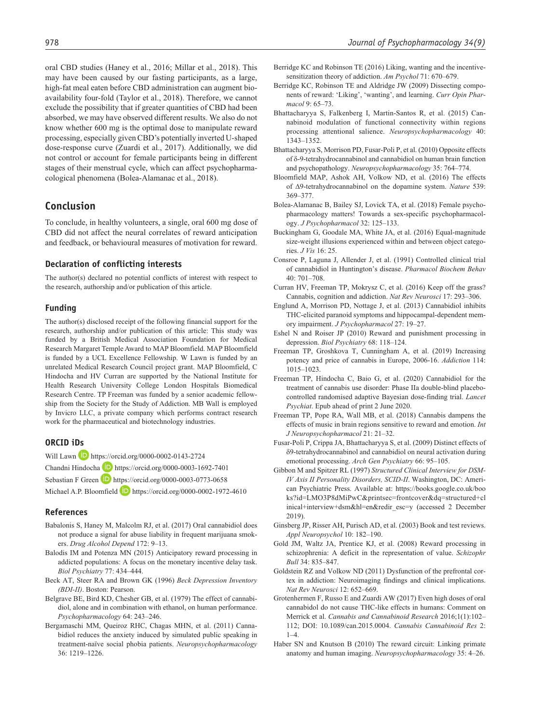oral CBD studies (Haney et al., 2016; Millar et al., 2018). This may have been caused by our fasting participants, as a large, high-fat meal eaten before CBD administration can augment bioavailability four-fold (Taylor et al., 2018). Therefore, we cannot exclude the possibility that if greater quantities of CBD had been absorbed, we may have observed different results. We also do not know whether 600 mg is the optimal dose to manipulate reward processing, especially given CBD's potentially inverted U-shaped dose-response curve (Zuardi et al., 2017). Additionally, we did

not control or account for female participants being in different stages of their menstrual cycle, which can affect psychopharmacological phenomena (Bolea-Alamanac et al., 2018).

# **Conclusion**

To conclude, in healthy volunteers, a single, oral 600 mg dose of CBD did not affect the neural correlates of reward anticipation and feedback, or behavioural measures of motivation for reward.

#### **Declaration of conflicting interests**

The author(s) declared no potential conflicts of interest with respect to the research, authorship and/or publication of this article.

#### **Funding**

The author(s) disclosed receipt of the following financial support for the research, authorship and/or publication of this article: This study was funded by a British Medical Association Foundation for Medical Research Margaret Temple Award to MAP Bloomfield. MAP Bloomfield is funded by a UCL Excellence Fellowship. W Lawn is funded by an unrelated Medical Research Council project grant. MAP Bloomfield, C Hindocha and HV Curran are supported by the National Institute for Health Research University College London Hospitals Biomedical Research Centre. TP Freeman was funded by a senior academic fellowship from the Society for the Study of Addiction. MB Wall is employed by Invicro LLC, a private company which performs contract research work for the pharmaceutical and biotechnology industries.

# **ORCID iDs**

Will Lawn **D** <https://orcid.org/0000-0002-0143-2724>

Chandni Hindocha **D** <https://orcid.org/0000-0003-1692-7401>

Sebastian F Green **D** <https://orcid.org/0000-0003-0773-0658>

Michael A.P. Bloomfield D <https://orcid.org/0000-0002-1972-4610>

#### **References**

- Babalonis S, Haney M, Malcolm RJ, et al. (2017) Oral cannabidiol does not produce a signal for abuse liability in frequent marijuana smokers. *Drug Alcohol Depend* 172: 9–13.
- Balodis IM and Potenza MN (2015) Anticipatory reward processing in addicted populations: A focus on the monetary incentive delay task. *Biol Psychiatry* 77: 434–444.
- Beck AT, Steer RA and Brown GK (1996) *Beck Depression Inventory (BDI-II)*. Boston: Pearson.
- Belgrave BE, Bird KD, Chesher GB, et al. (1979) The effect of cannabidiol, alone and in combination with ethanol, on human performance. *Psychopharmacology* 64: 243–246.
- Bergamaschi MM, Queiroz RHC, Chagas MHN, et al. (2011) Cannabidiol reduces the anxiety induced by simulated public speaking in treatment-naïve social phobia patients. *Neuropsychopharmacology* 36: 1219–1226.
- Berridge KC and Robinson TE (2016) Liking, wanting and the incentivesensitization theory of addiction. *Am Psychol* 71: 670–679.
- Berridge KC, Robinson TE and Aldridge JW (2009) Dissecting components of reward: 'Liking', 'wanting', and learning. *Curr Opin Pharmacol* 9: 65–73.
- Bhattacharyya S, Falkenberg I, Martin-Santos R, et al. (2015) Cannabinoid modulation of functional connectivity within regions processing attentional salience. *Neuropsychopharmacology* 40: 1343–1352.
- Bhattacharyya S, Morrison PD, Fusar-Poli P, et al. (2010) Opposite effects of δ-9-tetrahydrocannabinol and cannabidiol on human brain function and psychopathology. *Neuropsychopharmacology* 35: 764–774.
- Bloomfield MAP, Ashok AH, Volkow ND, et al. (2016) The effects of Δ9-tetrahydrocannabinol on the dopamine system. *Nature* 539: 369–377.
- Bolea-Alamanac B, Bailey SJ, Lovick TA, et al. (2018) Female psychopharmacology matters! Towards a sex-specific psychopharmacology. *J Psychopharmacol* 32: 125–133.
- Buckingham G, Goodale MA, White JA, et al. (2016) Equal-magnitude size-weight illusions experienced within and between object categories. *J Vis* 16: 25.
- Consroe P, Laguna J, Allender J, et al. (1991) Controlled clinical trial of cannabidiol in Huntington's disease. *Pharmacol Biochem Behav* 40: 701–708.
- Curran HV, Freeman TP, Mokrysz C, et al. (2016) Keep off the grass? Cannabis, cognition and addiction. *Nat Rev Neurosci* 17: 293–306.
- Englund A, Morrison PD, Nottage J, et al. (2013) Cannabidiol inhibits THC-elicited paranoid symptoms and hippocampal-dependent memory impairment. *J Psychopharmacol* 27: 19–27.
- Eshel N and Roiser JP (2010) Reward and punishment processing in depression. *Biol Psychiatry* 68: 118–124.
- Freeman TP, Groshkova T, Cunningham A, et al. (2019) Increasing potency and price of cannabis in Europe, 2006-16. *Addiction* 114: 1015–1023.
- Freeman TP, Hindocha C, Baio G, et al. (2020) Cannabidiol for the treatment of cannabis use disorder: Phase IIa double-blind placebocontrolled randomised adaptive Bayesian dose-finding trial. *Lancet Psychiat*. Epub ahead of print 2 June 2020.
- Freeman TP, Pope RA, Wall MB, et al. (2018) Cannabis dampens the effects of music in brain regions sensitive to reward and emotion. *Int J Neuropsychopharmacol* 21: 21–32.
- Fusar-Poli P, Crippa JA, Bhattacharyya S, et al. (2009) Distinct effects of δ9-tetrahydrocannabinol and cannabidiol on neural activation during emotional processing. *Arch Gen Psychiatry* 66: 95–105.
- Gibbon M and Spitzer RL (1997) *Structured Clinical Interview for DSM-IV Axis II Personality Disorders, SCID-II*. Washington, DC: American Psychiatric Press. Available at: [https://books.google.co.uk/boo](https://books.google.co.uk/books?id=LMO3P8dMiPwC&printsec=frontcover&dq=structured+clinical+interview+dsm&hl=en&redir_esc=y) [ks?id=LMO3P8dMiPwC&printsec=frontcover&dq=structured+cl](https://books.google.co.uk/books?id=LMO3P8dMiPwC&printsec=frontcover&dq=structured+clinical+interview+dsm&hl=en&redir_esc=y) [inical+interview+dsm&hl=en&redir\\_esc=y](https://books.google.co.uk/books?id=LMO3P8dMiPwC&printsec=frontcover&dq=structured+clinical+interview+dsm&hl=en&redir_esc=y) (accessed 2 December 2019).
- Ginsberg JP, Risser AH, Purisch AD, et al. (2003) Book and test reviews. *Appl Neuropsychol* 10: 182–190.
- Gold JM, Waltz JA, Prentice KJ, et al. (2008) Reward processing in schizophrenia: A deficit in the representation of value. *Schizophr Bull* 34: 835–847.
- Goldstein RZ and Volkow ND (2011) Dysfunction of the prefrontal cortex in addiction: Neuroimaging findings and clinical implications. *Nat Rev Neurosci* 12: 652–669.
- Grotenhermen F, Russo E and Zuardi AW (2017) Even high doses of oral cannabidol do not cause THC-like effects in humans: Comment on Merrick et al. *Cannabis and Cannabinoid Research* 2016;1(1):102– 112; DOI: 10.1089/can.2015.0004. *Cannabis Cannabinoid Res* 2:  $1 - 4$
- Haber SN and Knutson B (2010) The reward circuit: Linking primate anatomy and human imaging. *Neuropsychopharmacology* 35: 4–26.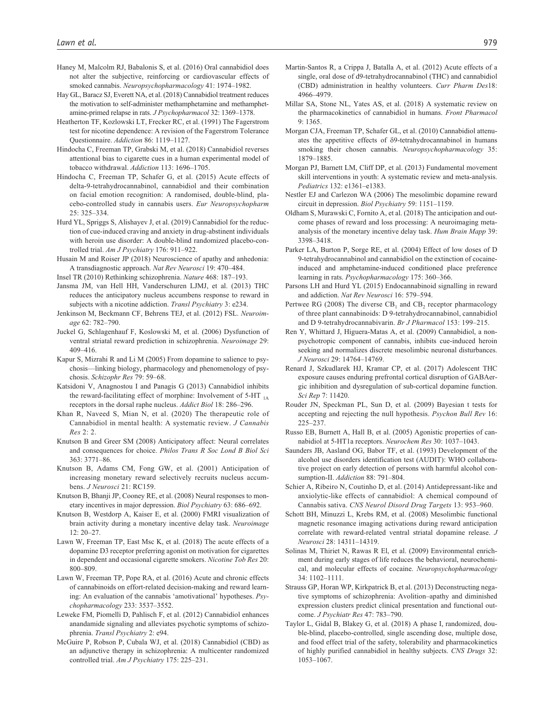- Haney M, Malcolm RJ, Babalonis S, et al. (2016) Oral cannabidiol does not alter the subjective, reinforcing or cardiovascular effects of smoked cannabis. *Neuropsychopharmacology* 41: 1974–1982.
- Hay GL, Baracz SJ, Everett NA, et al. (2018) Cannabidiol treatment reduces the motivation to self-administer methamphetamine and methamphetamine-primed relapse in rats. *J Psychopharmacol* 32: 1369–1378.
- Heatherton TF, Kozlowski LT, Frecker RC, et al. (1991) The Fagerstrom test for nicotine dependence: A revision of the Fagerstrom Tolerance Questionnaire. *Addiction* 86: 1119–1127.
- Hindocha C, Freeman TP, Grabski M, et al. (2018) Cannabidiol reverses attentional bias to cigarette cues in a human experimental model of tobacco withdrawal. *Addiction* 113: 1696–1705.
- Hindocha C, Freeman TP, Schafer G, et al. (2015) Acute effects of delta-9-tetrahydrocannabinol, cannabidiol and their combination on facial emotion recognition: A randomised, double-blind, placebo-controlled study in cannabis users. *Eur Neuropsychopharm* 25: 325–334.
- Hurd YL, Spriggs S, Alishayev J, et al. (2019) Cannabidiol for the reduction of cue-induced craving and anxiety in drug-abstinent individuals with heroin use disorder: A double-blind randomized placebo-controlled trial. *Am J Psychiatry* 176: 911–922.
- Husain M and Roiser JP (2018) Neuroscience of apathy and anhedonia: A transdiagnostic approach. *Nat Rev Neurosci* 19: 470–484.
- Insel TR (2010) Rethinking schizophrenia. *Nature* 468: 187–193.
- Jansma JM, van Hell HH, Vanderschuren LJMJ, et al. (2013) THC reduces the anticipatory nucleus accumbens response to reward in subjects with a nicotine addiction. *Transl Psychiatry* 3: e234.
- Jenkinson M, Beckmann CF, Behrens TEJ, et al. (2012) FSL. *Neuroimage* 62: 782–790.
- Juckel G, Schlagenhauf F, Koslowski M, et al. (2006) Dysfunction of ventral striatal reward prediction in schizophrenia. *Neuroimage* 29: 409–416.
- Kapur S, Mizrahi R and Li M (2005) From dopamine to salience to psychosis—linking biology, pharmacology and phenomenology of psychosis. *Schizophr Res* 79: 59–68.
- Katsidoni V, Anagnostou I and Panagis G (2013) Cannabidiol inhibits the reward-facilitating effect of morphine: Involvement of 5-HT 1A receptors in the dorsal raphe nucleus. *Addict Biol* 18: 286–296.
- Khan R, Naveed S, Mian N, et al. (2020) The therapeutic role of Cannabidiol in mental health: A systematic review. *J Cannabis Res* 2: 2.
- Knutson B and Greer SM (2008) Anticipatory affect: Neural correlates and consequences for choice. *Philos Trans R Soc Lond B Biol Sci* 363: 3771–86.
- Knutson B, Adams CM, Fong GW, et al. (2001) Anticipation of increasing monetary reward selectively recruits nucleus accumbens. *J Neurosci* 21: RC159.
- Knutson B, Bhanji JP, Cooney RE, et al. (2008) Neural responses to monetary incentives in major depression. *Biol Psychiatry* 63: 686–692.
- Knutson B, Westdorp A, Kaiser E, et al. (2000) FMRI visualization of brain activity during a monetary incentive delay task. *Neuroimage* 12: 20–27.
- Lawn W, Freeman TP, East Msc K, et al. (2018) The acute effects of a dopamine D3 receptor preferring agonist on motivation for cigarettes in dependent and occasional cigarette smokers. *Nicotine Tob Res* 20: 800–809.
- Lawn W, Freeman TP, Pope RA, et al. (2016) Acute and chronic effects of cannabinoids on effort-related decision-making and reward learning: An evaluation of the cannabis 'amotivational' hypotheses. *Psychopharmacology* 233: 3537–3552.
- Leweke FM, Piomelli D, Pahlisch F, et al. (2012) Cannabidiol enhances anandamide signaling and alleviates psychotic symptoms of schizophrenia. *Transl Psychiatry* 2: e94.
- McGuire P, Robson P, Cubala WJ, et al. (2018) Cannabidiol (CBD) as an adjunctive therapy in schizophrenia: A multicenter randomized controlled trial. *Am J Psychiatry* 175: 225–231.
- Martin-Santos R, a Crippa J, Batalla A, et al. (2012) Acute effects of a single, oral dose of d9-tetrahydrocannabinol (THC) and cannabidiol (CBD) administration in healthy volunteers. *Curr Pharm Des*18: 4966–4979.
- Millar SA, Stone NL, Yates AS, et al. (2018) A systematic review on the pharmacokinetics of cannabidiol in humans. *Front Pharmacol* 9: 1365.
- Morgan CJA, Freeman TP, Schafer GL, et al. (2010) Cannabidiol attenuates the appetitive effects of δ9-tetrahydrocannabinol in humans smoking their chosen cannabis. *Neuropsychopharmacology* 35: 1879–1885.
- Morgan PJ, Barnett LM, Cliff DP, et al. (2013) Fundamental movement skill interventions in youth: A systematic review and meta-analysis. *Pediatrics* 132: e1361–e1383.
- Nestler EJ and Carlezon WA (2006) The mesolimbic dopamine reward circuit in depression. *Biol Psychiatry* 59: 1151–1159.
- Oldham S, Murawski C, Fornito A, et al. (2018) The anticipation and outcome phases of reward and loss processing: A neuroimaging metaanalysis of the monetary incentive delay task. *Hum Brain Mapp* 39: 3398–3418.
- Parker LA, Burton P, Sorge RE, et al. (2004) Effect of low doses of D 9-tetrahydrocannabinol and cannabidiol on the extinction of cocaineinduced and amphetamine-induced conditioned place preference learning in rats. *Psychopharmacology* 175: 360–366.
- Parsons LH and Hurd YL (2015) Endocannabinoid signalling in reward and addiction. *Nat Rev Neurosci* 16: 579–594.
- Pertwee RG (2008) The diverse  $CB_1$  and  $CB_2$  receptor pharmacology of three plant cannabinoids: D 9-tetrahydrocannabinol, cannabidiol and D 9-tetrahydrocannabivarin. *Br J Pharmacol* 153: 199–215.
- Ren Y, Whittard J, Higuera-Matas A, et al. (2009) Cannabidiol, a nonpsychotropic component of cannabis, inhibits cue-induced heroin seeking and normalizes discrete mesolimbic neuronal disturbances. *J Neurosci* 29: 14764–14769.
- Renard J, Szkudlarek HJ, Kramar CP, et al. (2017) Adolescent THC exposure causes enduring prefrontal cortical disruption of GABAergic inhibition and dysregulation of sub-cortical dopamine function. *Sci Rep* 7: 11420.
- Rouder JN, Speckman PL, Sun D, et al. (2009) Bayesian t tests for accepting and rejecting the null hypothesis. *Psychon Bull Rev* 16: 225–237.
- Russo EB, Burnett A, Hall B, et al. (2005) Agonistic properties of cannabidiol at 5-HT1a receptors. *Neurochem Res* 30: 1037–1043.
- Saunders JB, Aasland OG, Babor TF, et al. (1993) Development of the alcohol use disorders identification test (AUDIT): WHO collaborative project on early detection of persons with harmful alcohol consumption-II. *Addiction* 88: 791–804.
- Schier A, Ribeiro N, Coutinho D, et al. (2014) Antidepressant-like and anxiolytic-like effects of cannabidiol: A chemical compound of Cannabis sativa. *CNS Neurol Disord Drug Targets* 13: 953–960.
- Schott BH, Minuzzi L, Krebs RM, et al. (2008) Mesolimbic functional magnetic resonance imaging activations during reward anticipation correlate with reward-related ventral striatal dopamine release. *J Neurosci* 28: 14311–14319.
- Solinas M, Thiriet N, Rawas R El, et al. (2009) Environmental enrichment during early stages of life reduces the behavioral, neurochemical, and molecular effects of cocaine. *Neuropsychopharmacology* 34: 1102–1111.
- Strauss GP, Horan WP, Kirkpatrick B, et al. (2013) Deconstructing negative symptoms of schizophrenia: Avolition–apathy and diminished expression clusters predict clinical presentation and functional outcome. *J Psychiatr Res* 47: 783–790.
- Taylor L, Gidal B, Blakey G, et al. (2018) A phase I, randomized, double-blind, placebo-controlled, single ascending dose, multiple dose, and food effect trial of the safety, tolerability and pharmacokinetics of highly purified cannabidiol in healthy subjects. *CNS Drugs* 32: 1053–1067.